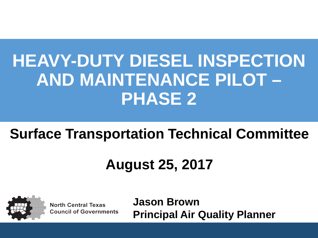# **Surface Transportation Technical Committee**

# **August 25, 2017**



**North Central Texas Council of Governments**  **Jason Brown Principal Air Quality Planner**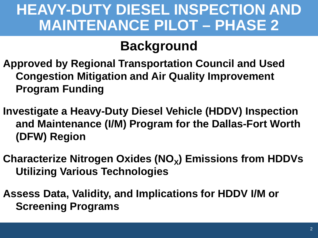### **Background**

**Approved by Regional Transportation Council and Used Congestion Mitigation and Air Quality Improvement Program Funding**

**Investigate a Heavy-Duty Diesel Vehicle (HDDV) Inspection and Maintenance (I/M) Program for the Dallas-Fort Worth (DFW) Region** 

**Characterize Nitrogen Oxides (NO<sub>x</sub>) Emissions from HDDVs Utilizing Various Technologies**

**Assess Data, Validity, and Implications for HDDV I/M or Screening Programs**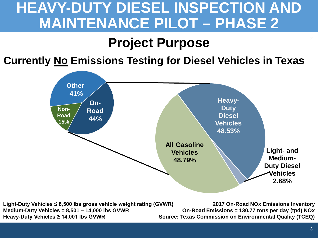### **Project Purpose**

#### **Currently No Emissions Testing for Diesel Vehicles in Texas**



**Light-Duty Vehicles ≤ 8,500 lbs gross vehicle weight rating (GVWR) Medium-Duty Vehicles = 8,501 – 14,000 lbs GVWR Heavy-Duty Vehicles ≥ 14,001 lbs GVWR** 

**2017 On-Road NOx Emissions Inventory On-Road Emissions = 130.77 tons per day (tpd) NOx Source: Texas Commission on Environmental Quality (TCEQ)**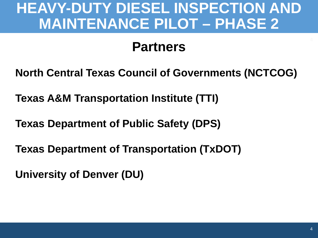### **Partners**

**North Central Texas Council of Governments (NCTCOG)** 

**Texas A&M Transportation Institute (TTI)** 

**Texas Department of Public Safety (DPS)** 

**Texas Department of Transportation (TxDOT)** 

**University of Denver (DU)**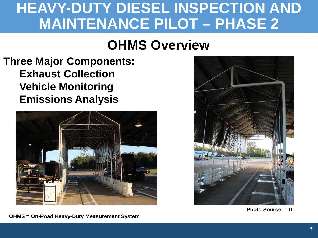### **OHMS Overview <sup>4</sup>**

#### **Three Major Components: Exhaust Collection Vehicle Monitoring Emissions Analysis**



**OHMS = On-Road Heavy-Duty Measurement System** 



**Photo Source: TTI**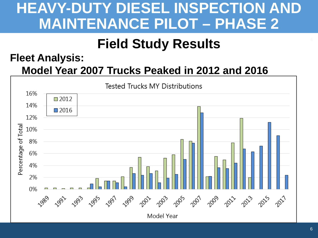### **Field Study Results**

#### **Fleet Analysis: Model Year 2007 Trucks Peaked in 2012 and 2016**

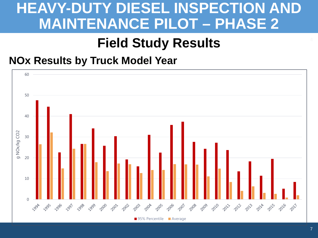### **Field Study Results <sup>4</sup>**

#### **NOx Results by Truck Model Year**

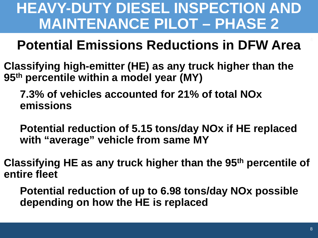### **Potential Emissions Reductions in DFW Area**

**Classifying high-emitter (HE) as any truck higher than the 95th percentile within a model year (MY)**

**7.3% of vehicles accounted for 21% of total NOx emissions**

**Potential reduction of 5.15 tons/day NOx if HE replaced with "average" vehicle from same MY**

**Classifying HE as any truck higher than the 95th percentile of entire fleet**

**Potential reduction of up to 6.98 tons/day NOx possible depending on how the HE is replaced**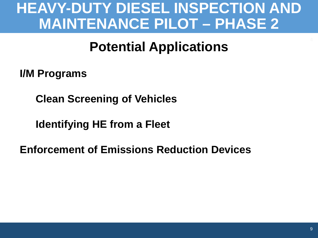### **Potential Applications**

**I/M Programs**

**Clean Screening of Vehicles**

**Identifying HE from a Fleet**

**Enforcement of Emissions Reduction Devices**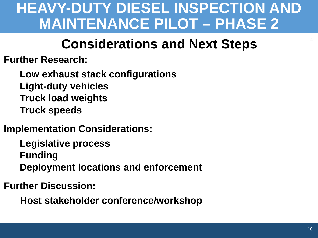### **Considerations and Next Steps <sup>4</sup>**

**Further Research:**

**Low exhaust stack configurations Light-duty vehicles Truck load weights Truck speeds**

**Implementation Considerations:**

**Legislative process Funding Deployment locations and enforcement** 

**Further Discussion:**

**Host stakeholder conference/workshop**